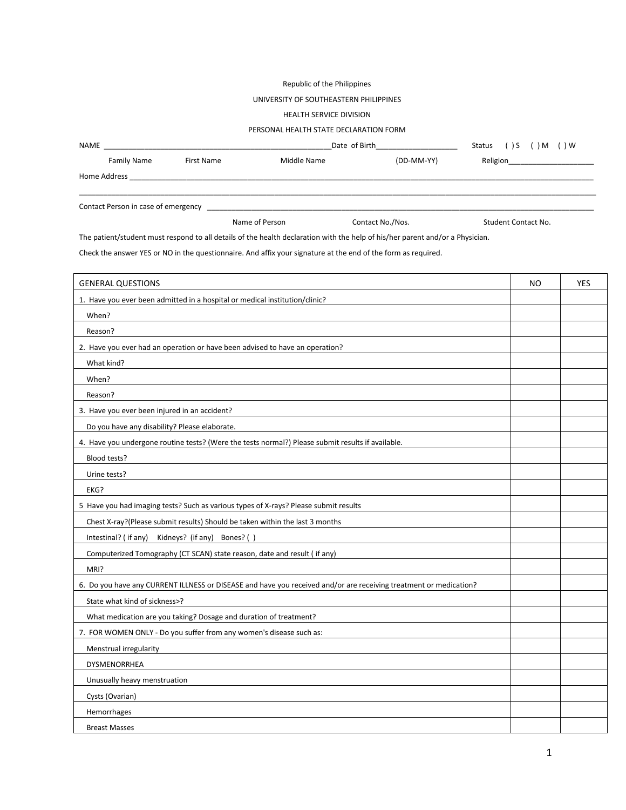## Republic of the Philippines

### UNIVERSITY OF SOUTHEASTERN PHILIPPINES

### HEALTH SERVICE DIVISION

### PERSONAL HEALTH STATE DECLARATION FORM

| <b>NAME</b>  |                                     |                | Date of Birth |                  |                     | ( ) M ( ) W     |
|--------------|-------------------------------------|----------------|---------------|------------------|---------------------|-----------------|
|              | Family Name                         | First Name     | Middle Name   | (DD-MM-YY)       |                     | <b>Religion</b> |
| Home Address |                                     |                |               |                  |                     |                 |
|              | Contact Person in case of emergency |                |               |                  |                     |                 |
|              |                                     | Name of Person |               | Contact No./Nos. | Student Contact No. |                 |

The patient/student must respond to all details of the health declaration with the help of his/her parent and/or a Physician.

Check the answer YES or NO in the questionnaire. And affix your signature at the end of the form as required.

| <b>GENERAL QUESTIONS</b>                                                                                          | <b>NO</b> | <b>YES</b> |
|-------------------------------------------------------------------------------------------------------------------|-----------|------------|
| 1. Have you ever been admitted in a hospital or medical institution/clinic?                                       |           |            |
| When?                                                                                                             |           |            |
| Reason?                                                                                                           |           |            |
| 2. Have you ever had an operation or have been advised to have an operation?                                      |           |            |
| What kind?                                                                                                        |           |            |
| When?                                                                                                             |           |            |
| Reason?                                                                                                           |           |            |
| 3. Have you ever been injured in an accident?                                                                     |           |            |
| Do you have any disability? Please elaborate.                                                                     |           |            |
| 4. Have you undergone routine tests? (Were the tests normal?) Please submit results if available.                 |           |            |
| Blood tests?                                                                                                      |           |            |
| Urine tests?                                                                                                      |           |            |
| EKG?                                                                                                              |           |            |
| 5 Have you had imaging tests? Such as various types of X-rays? Please submit results                              |           |            |
| Chest X-ray?(Please submit results) Should be taken within the last 3 months                                      |           |            |
| Intestinal? (if any) Kidneys? (if any) Bones? ()                                                                  |           |            |
| Computerized Tomography (CT SCAN) state reason, date and result ( if any)                                         |           |            |
| MRI?                                                                                                              |           |            |
| 6. Do you have any CURRENT ILLNESS or DISEASE and have you received and/or are receiving treatment or medication? |           |            |
| State what kind of sickness>?                                                                                     |           |            |
| What medication are you taking? Dosage and duration of treatment?                                                 |           |            |
| 7. FOR WOMEN ONLY - Do you suffer from any women's disease such as:                                               |           |            |
| Menstrual irregularity                                                                                            |           |            |
| <b>DYSMENORRHEA</b>                                                                                               |           |            |
| Unusually heavy menstruation                                                                                      |           |            |
| Cysts (Ovarian)                                                                                                   |           |            |
| Hemorrhages                                                                                                       |           |            |
| <b>Breast Masses</b>                                                                                              |           |            |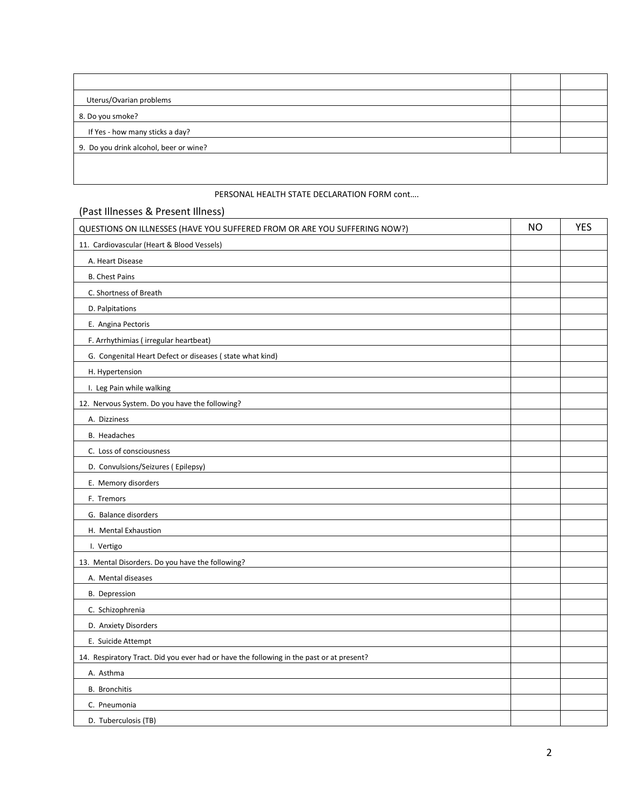| Uterus/Ovarian problems                |  |
|----------------------------------------|--|
| 8. Do you smoke?                       |  |
| If Yes - how many sticks a day?        |  |
| 9. Do you drink alcohol, beer or wine? |  |
|                                        |  |

### PERSONAL HEALTH STATE DECLARATION FORM cont….

# (Past Illnesses & Present Illness) QUESTIONS ON ILLNESSES (HAVE YOU SUFFERED FROM OR ARE YOU SUFFERING NOW?) NO ALSO NOWED NO YES 11. Cardiovascular (Heart & Blood Vessels) A. Heart Disease B. Chest Pains C. Shortness of Breath D. Palpitations E. Angina Pectoris F. Arrhythimias ( irregular heartbeat) G. Congenital Heart Defect or diseases ( state what kind) H. Hypertension I. Leg Pain while walking 12. Nervous System. Do you have the following? A. Dizziness B. Headaches C. Loss of consciousness D. Convulsions/Seizures ( Epilepsy) E. Memory disorders F. Tremors G. Balance disorders H. Mental Exhaustion I. Vertigo 13. Mental Disorders. Do you have the following? A. Mental diseases B. Depression C. Schizophrenia D. Anxiety Disorders E. Suicide Attempt 14. Respiratory Tract. Did you ever had or have the following in the past or at present? A. Asthma B. Bronchitis

 C. Pneumonia D. Tuberculosis (TB)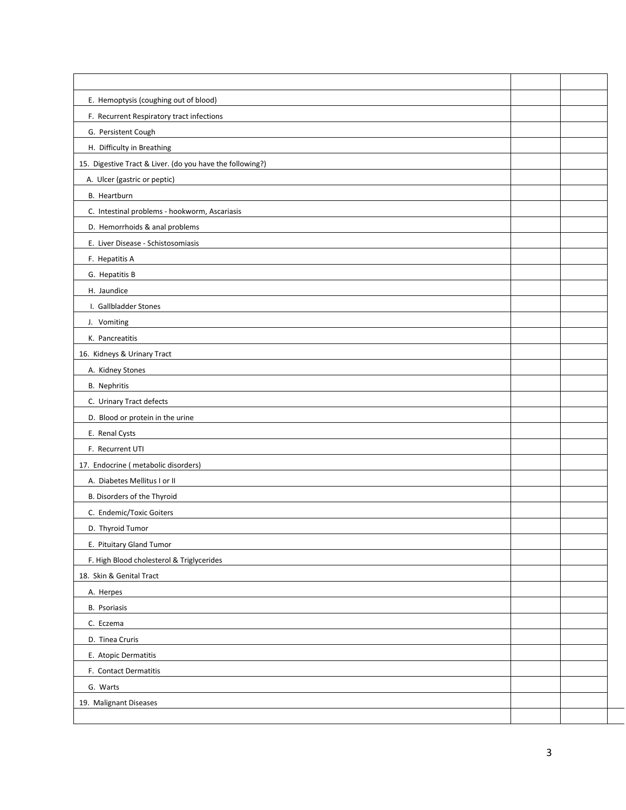| E. Hemoptysis (coughing out of blood)                     |  |
|-----------------------------------------------------------|--|
| F. Recurrent Respiratory tract infections                 |  |
| G. Persistent Cough                                       |  |
| H. Difficulty in Breathing                                |  |
| 15. Digestive Tract & Liver. (do you have the following?) |  |
| A. Ulcer (gastric or peptic)                              |  |
| B. Heartburn                                              |  |
| C. Intestinal problems - hookworm, Ascariasis             |  |
| D. Hemorrhoids & anal problems                            |  |
| E. Liver Disease - Schistosomiasis                        |  |
| F. Hepatitis A                                            |  |
| G. Hepatitis B                                            |  |
| H. Jaundice                                               |  |
| I. Gallbladder Stones                                     |  |
| J. Vomiting                                               |  |
| K. Pancreatitis                                           |  |
| 16. Kidneys & Urinary Tract                               |  |
| A. Kidney Stones                                          |  |
| <b>B.</b> Nephritis                                       |  |
| C. Urinary Tract defects                                  |  |
| D. Blood or protein in the urine                          |  |
| E. Renal Cysts                                            |  |
| F. Recurrent UTI                                          |  |
| 17. Endocrine (metabolic disorders)                       |  |
| A. Diabetes Mellitus I or II                              |  |
| B. Disorders of the Thyroid                               |  |
| C. Endemic/Toxic Goiters                                  |  |
| D. Thyroid Tumor                                          |  |
| E. Pituitary Gland Tumor                                  |  |
| F. High Blood cholesterol & Triglycerides                 |  |
| 18. Skin & Genital Tract                                  |  |
| A. Herpes                                                 |  |
| B. Psoriasis                                              |  |
| C. Eczema                                                 |  |
| D. Tinea Cruris                                           |  |
| E. Atopic Dermatitis                                      |  |
| F. Contact Dermatitis                                     |  |
| G. Warts                                                  |  |
| 19. Malignant Diseases                                    |  |
|                                                           |  |

 $\overline{\phantom{a}}$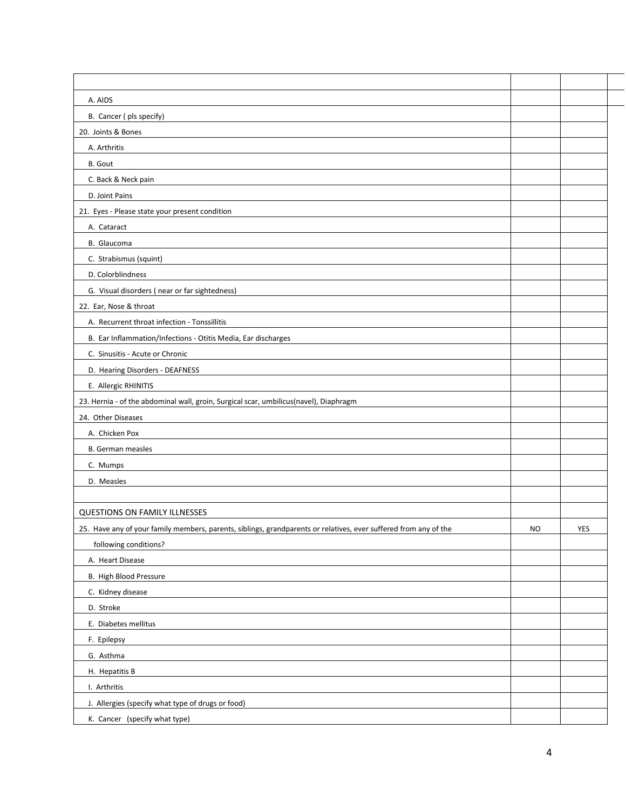| A. AIDS                                                                                                          |           |     |
|------------------------------------------------------------------------------------------------------------------|-----------|-----|
| B. Cancer (pls specify)                                                                                          |           |     |
| 20. Joints & Bones                                                                                               |           |     |
| A. Arthritis                                                                                                     |           |     |
| B. Gout                                                                                                          |           |     |
| C. Back & Neck pain                                                                                              |           |     |
| D. Joint Pains                                                                                                   |           |     |
| 21. Eyes - Please state your present condition                                                                   |           |     |
| A. Cataract                                                                                                      |           |     |
| B. Glaucoma                                                                                                      |           |     |
| C. Strabismus (squint)                                                                                           |           |     |
| D. Colorblindness                                                                                                |           |     |
| G. Visual disorders (near or far sightedness)                                                                    |           |     |
| 22. Ear, Nose & throat                                                                                           |           |     |
| A. Recurrent throat infection - Tonssillitis                                                                     |           |     |
| B. Ear Inflammation/Infections - Otitis Media, Ear discharges                                                    |           |     |
| C. Sinusitis - Acute or Chronic                                                                                  |           |     |
| D. Hearing Disorders - DEAFNESS                                                                                  |           |     |
| E. Allergic RHINITIS                                                                                             |           |     |
| 23. Hernia - of the abdominal wall, groin, Surgical scar, umbilicus(navel), Diaphragm                            |           |     |
| 24. Other Diseases                                                                                               |           |     |
| A. Chicken Pox                                                                                                   |           |     |
| <b>B.</b> German measles                                                                                         |           |     |
| C. Mumps                                                                                                         |           |     |
| D. Measles                                                                                                       |           |     |
|                                                                                                                  |           |     |
| <b>QUESTIONS ON FAMILY ILLNESSES</b>                                                                             |           |     |
| 25. Have any of your family members, parents, siblings, grandparents or relatives, ever suffered from any of the | <b>NO</b> | YES |
| following conditions?                                                                                            |           |     |
| A. Heart Disease                                                                                                 |           |     |
| B. High Blood Pressure                                                                                           |           |     |
| C. Kidney disease                                                                                                |           |     |
| D. Stroke                                                                                                        |           |     |
| E. Diabetes mellitus                                                                                             |           |     |
| F. Epilepsy                                                                                                      |           |     |
| G. Asthma                                                                                                        |           |     |
| H. Hepatitis B                                                                                                   |           |     |
| I. Arthritis                                                                                                     |           |     |
| J. Allergies (specify what type of drugs or food)                                                                |           |     |
| K. Cancer (specify what type)                                                                                    |           |     |